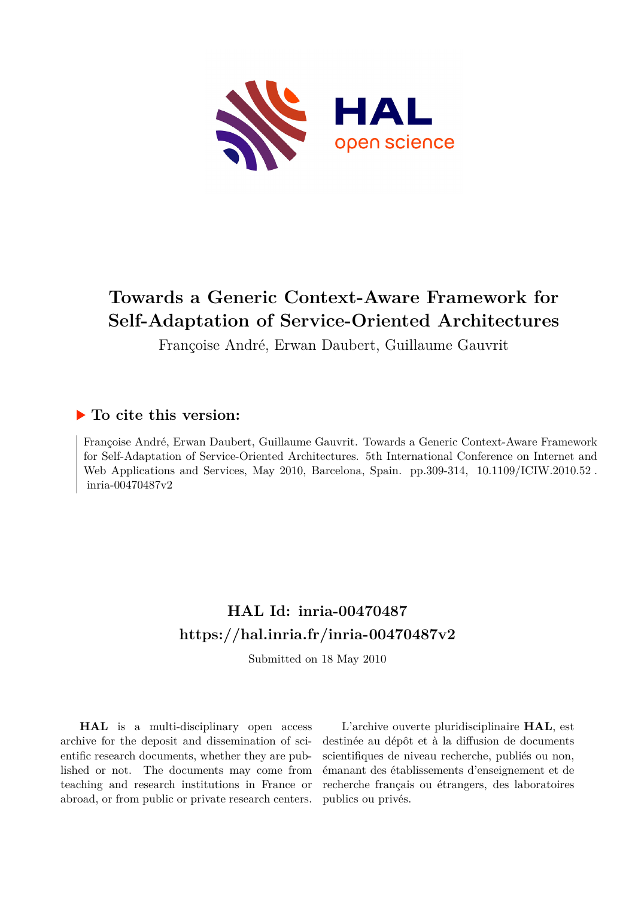

# **Towards a Generic Context-Aware Framework for Self-Adaptation of Service-Oriented Architectures**

Françoise André, Erwan Daubert, Guillaume Gauvrit

## **To cite this version:**

Françoise André, Erwan Daubert, Guillaume Gauvrit. Towards a Generic Context-Aware Framework for Self-Adaptation of Service-Oriented Architectures. 5th International Conference on Internet and Web Applications and Services, May 2010, Barcelona, Spain. pp.309-314, 10.1109/ICIW.2010.52. inria-00470487v2

# **HAL Id: inria-00470487 <https://hal.inria.fr/inria-00470487v2>**

Submitted on 18 May 2010

**HAL** is a multi-disciplinary open access archive for the deposit and dissemination of scientific research documents, whether they are published or not. The documents may come from teaching and research institutions in France or abroad, or from public or private research centers.

L'archive ouverte pluridisciplinaire **HAL**, est destinée au dépôt et à la diffusion de documents scientifiques de niveau recherche, publiés ou non, émanant des établissements d'enseignement et de recherche français ou étrangers, des laboratoires publics ou privés.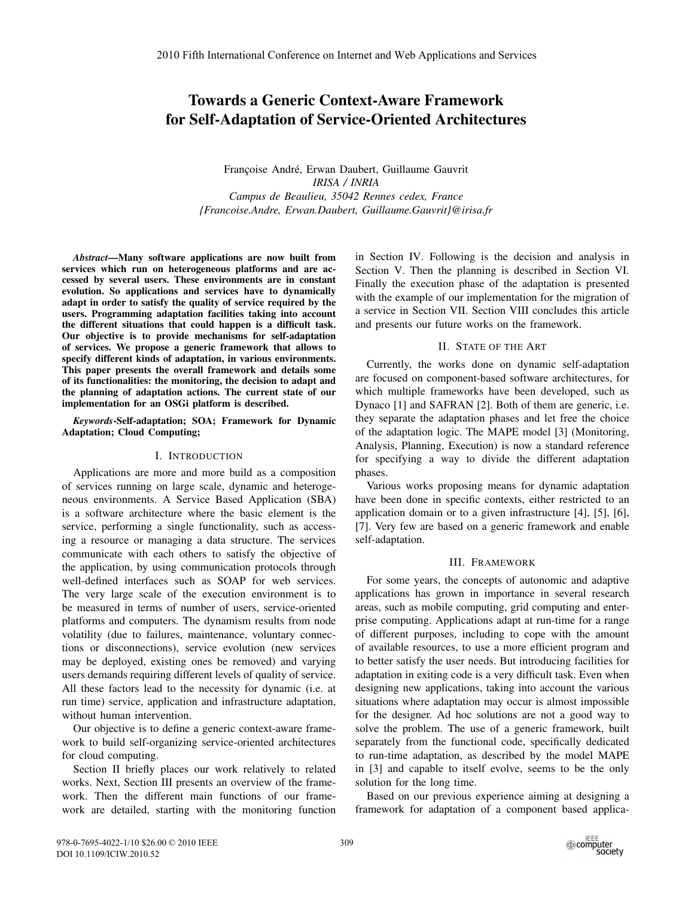## Towards a Generic Context-Aware Framework for Self-Adaptation of Service-Oriented Architectures

Françoise André, Erwan Daubert, Guillaume Gauvrit *IRISA / INRIA Campus de Beaulieu, 35042 Rennes cedex, France {Francoise.Andre, Erwan.Daubert, Guillaume.Gauvrit}@irisa.fr*

*Abstract*—Many software applications are now built from services which run on heterogeneous platforms and are accessed by several users. These environments are in constant evolution. So applications and services have to dynamically adapt in order to satisfy the quality of service required by the users. Programming adaptation facilities taking into account the different situations that could happen is a difficult task. Our objective is to provide mechanisms for self-adaptation of services. We propose a generic framework that allows to specify different kinds of adaptation, in various environments. This paper presents the overall framework and details some of its functionalities: the monitoring, the decision to adapt and the planning of adaptation actions. The current state of our implementation for an OSGi platform is described.

*Keywords*-Self-adaptation; SOA; Framework for Dynamic Adaptation; Cloud Computing;

#### I. INTRODUCTION

Applications are more and more build as a composition of services running on large scale, dynamic and heterogeneous environments. A Service Based Application (SBA) is a software architecture where the basic element is the service, performing a single functionality, such as accessing a resource or managing a data structure. The services communicate with each others to satisfy the objective of the application, by using communication protocols through well-defined interfaces such as SOAP for web services. The very large scale of the execution environment is to be measured in terms of number of users, service-oriented platforms and computers. The dynamism results from node volatility (due to failures, maintenance, voluntary connections or disconnections), service evolution (new services may be deployed, existing ones be removed) and varying users demands requiring different levels of quality of service. All these factors lead to the necessity for dynamic (i.e. at run time) service, application and infrastructure adaptation, without human intervention.

Our objective is to define a generic context-aware framework to build self-organizing service-oriented architectures for cloud computing.

Section II briefly places our work relatively to related works. Next, Section III presents an overview of the framework. Then the different main functions of our framework are detailed, starting with the monitoring function in Section IV. Following is the decision and analysis in Section V. Then the planning is described in Section VI. Finally the execution phase of the adaptation is presented with the example of our implementation for the migration of a service in Section VII. Section VIII concludes this article and presents our future works on the framework.

#### II. STATE OF THE ART

Currently, the works done on dynamic self-adaptation are focused on component-based software architectures, for which multiple frameworks have been developed, such as Dynaco [1] and SAFRAN [2]. Both of them are generic, i.e. they separate the adaptation phases and let free the choice of the adaptation logic. The MAPE model [3] (Monitoring, Analysis, Planning, Execution) is now a standard reference for specifying a way to divide the different adaptation phases.

Various works proposing means for dynamic adaptation have been done in specific contexts, either restricted to an application domain or to a given infrastructure [4], [5], [6], [7]. Very few are based on a generic framework and enable self-adaptation.

### III. FRAMEWORK

For some years, the concepts of autonomic and adaptive applications has grown in importance in several research areas, such as mobile computing, grid computing and enterprise computing. Applications adapt at run-time for a range of different purposes, including to cope with the amount of available resources, to use a more efficient program and to better satisfy the user needs. But introducing facilities for adaptation in exiting code is a very difficult task. Even when designing new applications, taking into account the various situations where adaptation may occur is almost impossible for the designer. Ad hoc solutions are not a good way to solve the problem. The use of a generic framework, built separately from the functional code, specifically dedicated to run-time adaptation, as described by the model MAPE in [3] and capable to itself evolve, seems to be the only solution for the long time.

Based on our previous experience aiming at designing a framework for adaptation of a component based applica-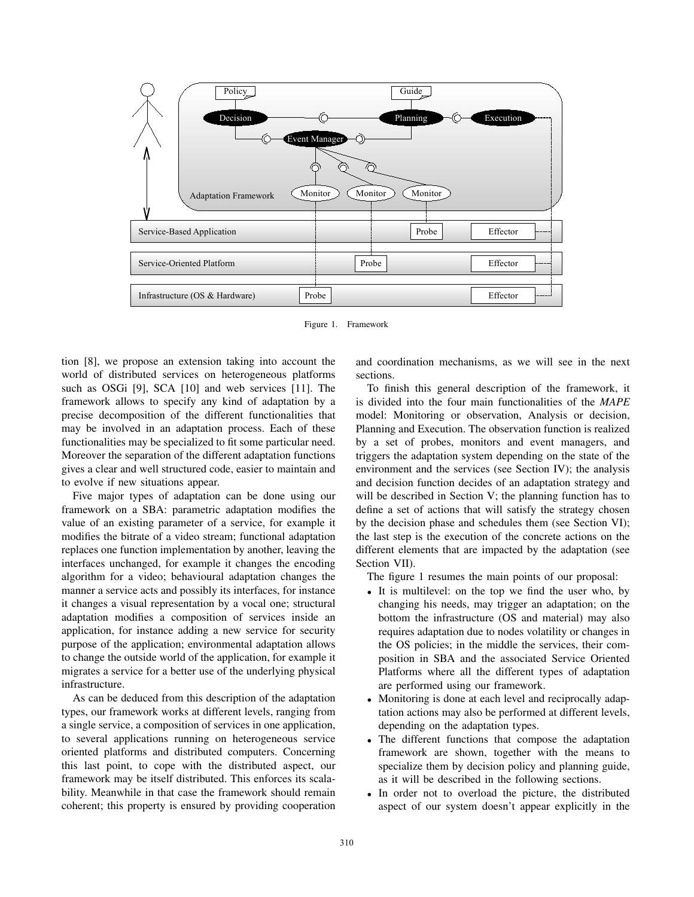

Figure 1. Framework

tion [8], we propose an extension taking into account the world of distributed services on heterogeneous platforms such as OSGi [9], SCA [10] and web services [11]. The framework allows to specify any kind of adaptation by a precise decomposition of the different functionalities that may be involved in an adaptation process. Each of these functionalities may be specialized to fit some particular need. Moreover the separation of the different adaptation functions gives a clear and well structured code, easier to maintain and to evolve if new situations appear.

Five major types of adaptation can be done using our framework on a SBA: parametric adaptation modifies the value of an existing parameter of a service, for example it modifies the bitrate of a video stream; functional adaptation replaces one function implementation by another, leaving the interfaces unchanged, for example it changes the encoding algorithm for a video; behavioural adaptation changes the manner a service acts and possibly its interfaces, for instance it changes a visual representation by a vocal one; structural adaptation modifies a composition of services inside an application, for instance adding a new service for security purpose of the application; environmental adaptation allows to change the outside world of the application, for example it migrates a service for a better use of the underlying physical infrastructure.

As can be deduced from this description of the adaptation types, our framework works at different levels, ranging from a single service, a composition of services in one application, to several applications running on heterogeneous service oriented platforms and distributed computers. Concerning this last point, to cope with the distributed aspect, our framework may be itself distributed. This enforces its scalability. Meanwhile in that case the framework should remain coherent; this property is ensured by providing cooperation

and coordination mechanisms, as we will see in the next sections.

To finish this general description of the framework, it is divided into the four main functionalities of the *MAPE* model: Monitoring or observation, Analysis or decision, Planning and Execution. The observation function is realized by a set of probes, monitors and event managers, and triggers the adaptation system depending on the state of the environment and the services (see Section IV); the analysis and decision function decides of an adaptation strategy and will be described in Section V; the planning function has to define a set of actions that will satisfy the strategy chosen by the decision phase and schedules them (see Section VI); the last step is the execution of the concrete actions on the different elements that are impacted by the adaptation (see Section VII).

The figure 1 resumes the main points of our proposal:

- It is multilevel: on the top we find the user who, by changing his needs, may trigger an adaptation; on the bottom the infrastructure (OS and material) may also requires adaptation due to nodes volatility or changes in the OS policies; in the middle the services, their composition in SBA and the associated Service Oriented Platforms where all the different types of adaptation are performed using our framework.
- Monitoring is done at each level and reciprocally adaptation actions may also be performed at different levels, depending on the adaptation types.
- The different functions that compose the adaptation framework are shown, together with the means to specialize them by decision policy and planning guide, as it will be described in the following sections.
- In order not to overload the picture, the distributed aspect of our system doesn't appear explicitly in the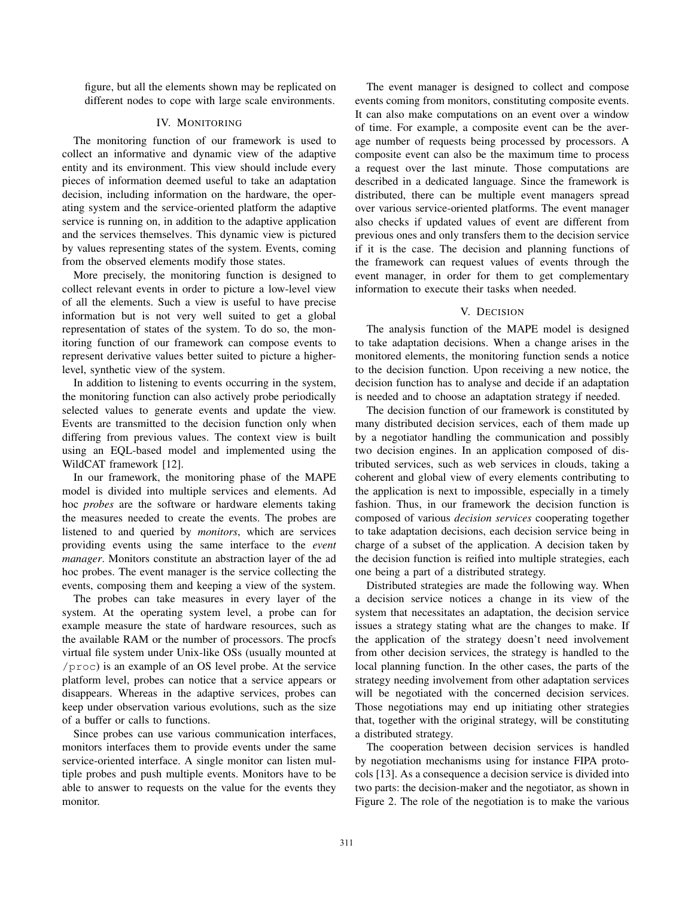figure, but all the elements shown may be replicated on different nodes to cope with large scale environments.

#### IV. MONITORING

The monitoring function of our framework is used to collect an informative and dynamic view of the adaptive entity and its environment. This view should include every pieces of information deemed useful to take an adaptation decision, including information on the hardware, the operating system and the service-oriented platform the adaptive service is running on, in addition to the adaptive application and the services themselves. This dynamic view is pictured by values representing states of the system. Events, coming from the observed elements modify those states.

More precisely, the monitoring function is designed to collect relevant events in order to picture a low-level view of all the elements. Such a view is useful to have precise information but is not very well suited to get a global representation of states of the system. To do so, the monitoring function of our framework can compose events to represent derivative values better suited to picture a higherlevel, synthetic view of the system.

In addition to listening to events occurring in the system, the monitoring function can also actively probe periodically selected values to generate events and update the view. Events are transmitted to the decision function only when differing from previous values. The context view is built using an EQL-based model and implemented using the WildCAT framework [12].

In our framework, the monitoring phase of the MAPE model is divided into multiple services and elements. Ad hoc *probes* are the software or hardware elements taking the measures needed to create the events. The probes are listened to and queried by *monitors*, which are services providing events using the same interface to the *event manager*. Monitors constitute an abstraction layer of the ad hoc probes. The event manager is the service collecting the events, composing them and keeping a view of the system.

The probes can take measures in every layer of the system. At the operating system level, a probe can for example measure the state of hardware resources, such as the available RAM or the number of processors. The procfs virtual file system under Unix-like OSs (usually mounted at /proc) is an example of an OS level probe. At the service platform level, probes can notice that a service appears or disappears. Whereas in the adaptive services, probes can keep under observation various evolutions, such as the size of a buffer or calls to functions.

Since probes can use various communication interfaces, monitors interfaces them to provide events under the same service-oriented interface. A single monitor can listen multiple probes and push multiple events. Monitors have to be able to answer to requests on the value for the events they monitor.

The event manager is designed to collect and compose events coming from monitors, constituting composite events. It can also make computations on an event over a window of time. For example, a composite event can be the average number of requests being processed by processors. A composite event can also be the maximum time to process a request over the last minute. Those computations are described in a dedicated language. Since the framework is distributed, there can be multiple event managers spread over various service-oriented platforms. The event manager also checks if updated values of event are different from previous ones and only transfers them to the decision service if it is the case. The decision and planning functions of the framework can request values of events through the event manager, in order for them to get complementary information to execute their tasks when needed.

### V. DECISION

The analysis function of the MAPE model is designed to take adaptation decisions. When a change arises in the monitored elements, the monitoring function sends a notice to the decision function. Upon receiving a new notice, the decision function has to analyse and decide if an adaptation is needed and to choose an adaptation strategy if needed.

The decision function of our framework is constituted by many distributed decision services, each of them made up by a negotiator handling the communication and possibly two decision engines. In an application composed of distributed services, such as web services in clouds, taking a coherent and global view of every elements contributing to the application is next to impossible, especially in a timely fashion. Thus, in our framework the decision function is composed of various *decision services* cooperating together to take adaptation decisions, each decision service being in charge of a subset of the application. A decision taken by the decision function is reified into multiple strategies, each one being a part of a distributed strategy.

Distributed strategies are made the following way. When a decision service notices a change in its view of the system that necessitates an adaptation, the decision service issues a strategy stating what are the changes to make. If the application of the strategy doesn't need involvement from other decision services, the strategy is handled to the local planning function. In the other cases, the parts of the strategy needing involvement from other adaptation services will be negotiated with the concerned decision services. Those negotiations may end up initiating other strategies that, together with the original strategy, will be constituting a distributed strategy.

The cooperation between decision services is handled by negotiation mechanisms using for instance FIPA protocols [13]. As a consequence a decision service is divided into two parts: the decision-maker and the negotiator, as shown in Figure 2. The role of the negotiation is to make the various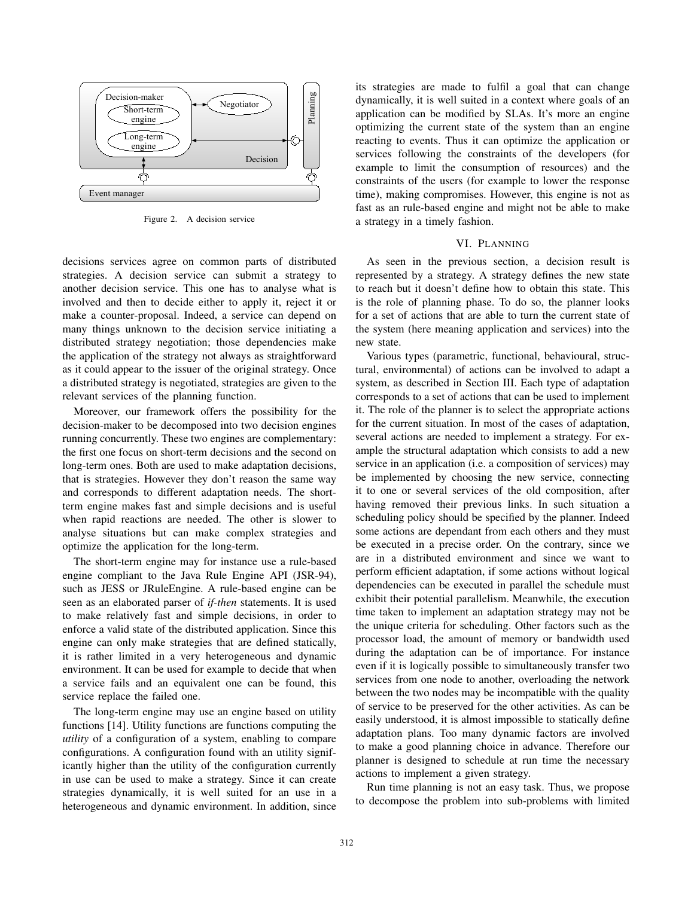

Figure 2. A decision service

decisions services agree on common parts of distributed strategies. A decision service can submit a strategy to another decision service. This one has to analyse what is involved and then to decide either to apply it, reject it or make a counter-proposal. Indeed, a service can depend on many things unknown to the decision service initiating a distributed strategy negotiation; those dependencies make the application of the strategy not always as straightforward as it could appear to the issuer of the original strategy. Once a distributed strategy is negotiated, strategies are given to the relevant services of the planning function.

Moreover, our framework offers the possibility for the decision-maker to be decomposed into two decision engines running concurrently. These two engines are complementary: the first one focus on short-term decisions and the second on long-term ones. Both are used to make adaptation decisions, that is strategies. However they don't reason the same way and corresponds to different adaptation needs. The shortterm engine makes fast and simple decisions and is useful when rapid reactions are needed. The other is slower to analyse situations but can make complex strategies and optimize the application for the long-term.

The short-term engine may for instance use a rule-based engine compliant to the Java Rule Engine API (JSR-94), such as JESS or JRuleEngine. A rule-based engine can be seen as an elaborated parser of *if-then* statements. It is used to make relatively fast and simple decisions, in order to enforce a valid state of the distributed application. Since this engine can only make strategies that are defined statically, it is rather limited in a very heterogeneous and dynamic environment. It can be used for example to decide that when a service fails and an equivalent one can be found, this service replace the failed one.

The long-term engine may use an engine based on utility functions [14]. Utility functions are functions computing the *utility* of a configuration of a system, enabling to compare configurations. A configuration found with an utility significantly higher than the utility of the configuration currently in use can be used to make a strategy. Since it can create strategies dynamically, it is well suited for an use in a heterogeneous and dynamic environment. In addition, since its strategies are made to fulfil a goal that can change dynamically, it is well suited in a context where goals of an application can be modified by SLAs. It's more an engine optimizing the current state of the system than an engine reacting to events. Thus it can optimize the application or services following the constraints of the developers (for example to limit the consumption of resources) and the constraints of the users (for example to lower the response time), making compromises. However, this engine is not as fast as an rule-based engine and might not be able to make a strategy in a timely fashion.

### VI. PLANNING

As seen in the previous section, a decision result is represented by a strategy. A strategy defines the new state to reach but it doesn't define how to obtain this state. This is the role of planning phase. To do so, the planner looks for a set of actions that are able to turn the current state of the system (here meaning application and services) into the new state.

Various types (parametric, functional, behavioural, structural, environmental) of actions can be involved to adapt a system, as described in Section III. Each type of adaptation corresponds to a set of actions that can be used to implement it. The role of the planner is to select the appropriate actions for the current situation. In most of the cases of adaptation, several actions are needed to implement a strategy. For example the structural adaptation which consists to add a new service in an application (i.e. a composition of services) may be implemented by choosing the new service, connecting it to one or several services of the old composition, after having removed their previous links. In such situation a scheduling policy should be specified by the planner. Indeed some actions are dependant from each others and they must be executed in a precise order. On the contrary, since we are in a distributed environment and since we want to perform efficient adaptation, if some actions without logical dependencies can be executed in parallel the schedule must exhibit their potential parallelism. Meanwhile, the execution time taken to implement an adaptation strategy may not be the unique criteria for scheduling. Other factors such as the processor load, the amount of memory or bandwidth used during the adaptation can be of importance. For instance even if it is logically possible to simultaneously transfer two services from one node to another, overloading the network between the two nodes may be incompatible with the quality of service to be preserved for the other activities. As can be easily understood, it is almost impossible to statically define adaptation plans. Too many dynamic factors are involved to make a good planning choice in advance. Therefore our planner is designed to schedule at run time the necessary actions to implement a given strategy.

Run time planning is not an easy task. Thus, we propose to decompose the problem into sub-problems with limited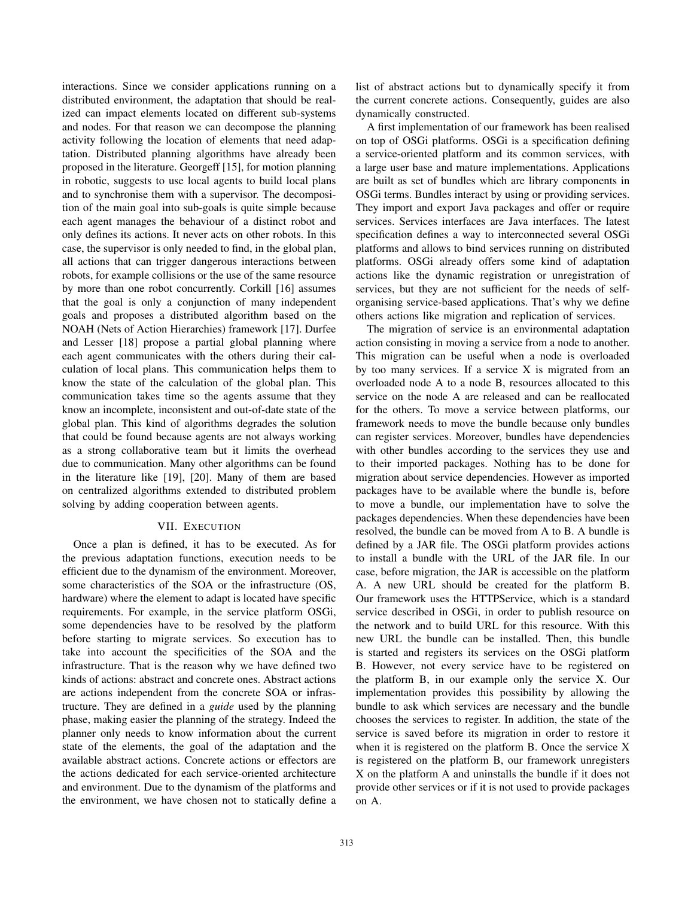interactions. Since we consider applications running on a distributed environment, the adaptation that should be realized can impact elements located on different sub-systems and nodes. For that reason we can decompose the planning activity following the location of elements that need adaptation. Distributed planning algorithms have already been proposed in the literature. Georgeff [15], for motion planning in robotic, suggests to use local agents to build local plans and to synchronise them with a supervisor. The decomposition of the main goal into sub-goals is quite simple because each agent manages the behaviour of a distinct robot and only defines its actions. It never acts on other robots. In this case, the supervisor is only needed to find, in the global plan, all actions that can trigger dangerous interactions between robots, for example collisions or the use of the same resource by more than one robot concurrently. Corkill [16] assumes that the goal is only a conjunction of many independent goals and proposes a distributed algorithm based on the NOAH (Nets of Action Hierarchies) framework [17]. Durfee and Lesser [18] propose a partial global planning where each agent communicates with the others during their calculation of local plans. This communication helps them to know the state of the calculation of the global plan. This communication takes time so the agents assume that they know an incomplete, inconsistent and out-of-date state of the global plan. This kind of algorithms degrades the solution that could be found because agents are not always working as a strong collaborative team but it limits the overhead due to communication. Many other algorithms can be found in the literature like [19], [20]. Many of them are based on centralized algorithms extended to distributed problem solving by adding cooperation between agents.

#### VII. EXECUTION

Once a plan is defined, it has to be executed. As for the previous adaptation functions, execution needs to be efficient due to the dynamism of the environment. Moreover, some characteristics of the SOA or the infrastructure (OS, hardware) where the element to adapt is located have specific requirements. For example, in the service platform OSGi, some dependencies have to be resolved by the platform before starting to migrate services. So execution has to take into account the specificities of the SOA and the infrastructure. That is the reason why we have defined two kinds of actions: abstract and concrete ones. Abstract actions are actions independent from the concrete SOA or infrastructure. They are defined in a *guide* used by the planning phase, making easier the planning of the strategy. Indeed the planner only needs to know information about the current state of the elements, the goal of the adaptation and the available abstract actions. Concrete actions or effectors are the actions dedicated for each service-oriented architecture and environment. Due to the dynamism of the platforms and the environment, we have chosen not to statically define a

list of abstract actions but to dynamically specify it from the current concrete actions. Consequently, guides are also dynamically constructed.

A first implementation of our framework has been realised on top of OSGi platforms. OSGi is a specification defining a service-oriented platform and its common services, with a large user base and mature implementations. Applications are built as set of bundles which are library components in OSGi terms. Bundles interact by using or providing services. They import and export Java packages and offer or require services. Services interfaces are Java interfaces. The latest specification defines a way to interconnected several OSGi platforms and allows to bind services running on distributed platforms. OSGi already offers some kind of adaptation actions like the dynamic registration or unregistration of services, but they are not sufficient for the needs of selforganising service-based applications. That's why we define others actions like migration and replication of services.

The migration of service is an environmental adaptation action consisting in moving a service from a node to another. This migration can be useful when a node is overloaded by too many services. If a service X is migrated from an overloaded node A to a node B, resources allocated to this service on the node A are released and can be reallocated for the others. To move a service between platforms, our framework needs to move the bundle because only bundles can register services. Moreover, bundles have dependencies with other bundles according to the services they use and to their imported packages. Nothing has to be done for migration about service dependencies. However as imported packages have to be available where the bundle is, before to move a bundle, our implementation have to solve the packages dependencies. When these dependencies have been resolved, the bundle can be moved from A to B. A bundle is defined by a JAR file. The OSGi platform provides actions to install a bundle with the URL of the JAR file. In our case, before migration, the JAR is accessible on the platform A. A new URL should be created for the platform B. Our framework uses the HTTPService, which is a standard service described in OSGi, in order to publish resource on the network and to build URL for this resource. With this new URL the bundle can be installed. Then, this bundle is started and registers its services on the OSGi platform B. However, not every service have to be registered on the platform B, in our example only the service X. Our implementation provides this possibility by allowing the bundle to ask which services are necessary and the bundle chooses the services to register. In addition, the state of the service is saved before its migration in order to restore it when it is registered on the platform B. Once the service X is registered on the platform B, our framework unregisters X on the platform A and uninstalls the bundle if it does not provide other services or if it is not used to provide packages on A.